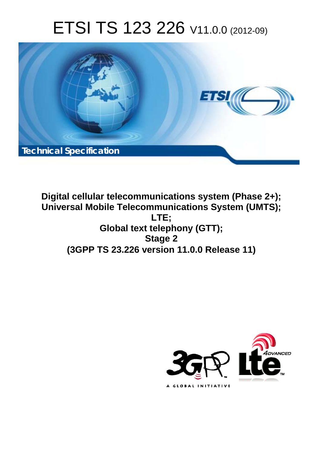# ETSI TS 123 226 V11.0.0 (2012-09)



**Digital cellular telecommunications system (Phase 2+); Universal Mobile Telecommunications System (UMTS); LTE; Global text telephony (GTT); Stage 2 (3GPP TS 23.226 version 11.0.0 Release 11)** 

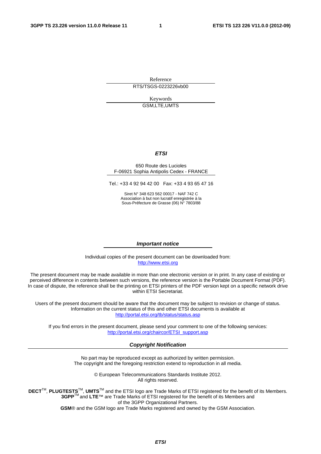Reference RTS/TSGS-0223226vb00

> Keywords GSM,LTE,UMTS

#### *ETSI*

#### 650 Route des Lucioles F-06921 Sophia Antipolis Cedex - FRANCE

Tel.: +33 4 92 94 42 00 Fax: +33 4 93 65 47 16

Siret N° 348 623 562 00017 - NAF 742 C Association à but non lucratif enregistrée à la Sous-Préfecture de Grasse (06) N° 7803/88

#### *Important notice*

Individual copies of the present document can be downloaded from: [http://www.etsi.org](http://www.etsi.org/)

The present document may be made available in more than one electronic version or in print. In any case of existing or perceived difference in contents between such versions, the reference version is the Portable Document Format (PDF). In case of dispute, the reference shall be the printing on ETSI printers of the PDF version kept on a specific network drive within ETSI Secretariat.

Users of the present document should be aware that the document may be subject to revision or change of status. Information on the current status of this and other ETSI documents is available at <http://portal.etsi.org/tb/status/status.asp>

If you find errors in the present document, please send your comment to one of the following services: [http://portal.etsi.org/chaircor/ETSI\\_support.asp](http://portal.etsi.org/chaircor/ETSI_support.asp)

#### *Copyright Notification*

No part may be reproduced except as authorized by written permission. The copyright and the foregoing restriction extend to reproduction in all media.

> © European Telecommunications Standards Institute 2012. All rights reserved.

**DECT**TM, **PLUGTESTS**TM, **UMTS**TM and the ETSI logo are Trade Marks of ETSI registered for the benefit of its Members. **3GPP**TM and **LTE**™ are Trade Marks of ETSI registered for the benefit of its Members and of the 3GPP Organizational Partners.

**GSM**® and the GSM logo are Trade Marks registered and owned by the GSM Association.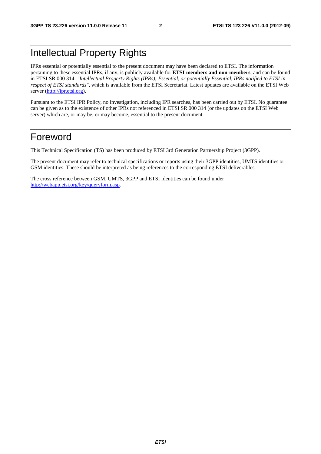## Intellectual Property Rights

IPRs essential or potentially essential to the present document may have been declared to ETSI. The information pertaining to these essential IPRs, if any, is publicly available for **ETSI members and non-members**, and can be found in ETSI SR 000 314: *"Intellectual Property Rights (IPRs); Essential, or potentially Essential, IPRs notified to ETSI in respect of ETSI standards"*, which is available from the ETSI Secretariat. Latest updates are available on the ETSI Web server [\(http://ipr.etsi.org](http://webapp.etsi.org/IPR/home.asp)).

Pursuant to the ETSI IPR Policy, no investigation, including IPR searches, has been carried out by ETSI. No guarantee can be given as to the existence of other IPRs not referenced in ETSI SR 000 314 (or the updates on the ETSI Web server) which are, or may be, or may become, essential to the present document.

### Foreword

This Technical Specification (TS) has been produced by ETSI 3rd Generation Partnership Project (3GPP).

The present document may refer to technical specifications or reports using their 3GPP identities, UMTS identities or GSM identities. These should be interpreted as being references to the corresponding ETSI deliverables.

The cross reference between GSM, UMTS, 3GPP and ETSI identities can be found under [http://webapp.etsi.org/key/queryform.asp.](http://webapp.etsi.org/key/queryform.asp)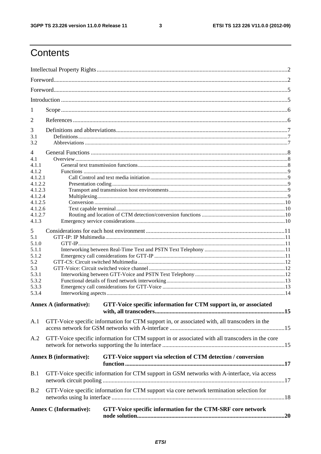$\mathbf{3}$ 

## Contents

| 1                                                                                            |                                                                                             |                                                                                                  |  |  |  |  |
|----------------------------------------------------------------------------------------------|---------------------------------------------------------------------------------------------|--------------------------------------------------------------------------------------------------|--|--|--|--|
|                                                                                              |                                                                                             |                                                                                                  |  |  |  |  |
| 2                                                                                            |                                                                                             |                                                                                                  |  |  |  |  |
| 3<br>3.1                                                                                     |                                                                                             |                                                                                                  |  |  |  |  |
| 3.2                                                                                          |                                                                                             |                                                                                                  |  |  |  |  |
|                                                                                              |                                                                                             |                                                                                                  |  |  |  |  |
| 4<br>4.1                                                                                     |                                                                                             |                                                                                                  |  |  |  |  |
| 4.1.1                                                                                        |                                                                                             |                                                                                                  |  |  |  |  |
| 4.1.2                                                                                        |                                                                                             |                                                                                                  |  |  |  |  |
| 4.1.2.1                                                                                      |                                                                                             |                                                                                                  |  |  |  |  |
| 4.1.2.2                                                                                      |                                                                                             |                                                                                                  |  |  |  |  |
| 4.1.2.3                                                                                      |                                                                                             |                                                                                                  |  |  |  |  |
| 4.1.2.4                                                                                      |                                                                                             |                                                                                                  |  |  |  |  |
| 4.1.2.5                                                                                      |                                                                                             |                                                                                                  |  |  |  |  |
| 4.1.2.6<br>4.1.2.7                                                                           |                                                                                             |                                                                                                  |  |  |  |  |
| 4.1.3                                                                                        |                                                                                             |                                                                                                  |  |  |  |  |
|                                                                                              |                                                                                             |                                                                                                  |  |  |  |  |
| 5                                                                                            |                                                                                             |                                                                                                  |  |  |  |  |
| 5.1                                                                                          |                                                                                             |                                                                                                  |  |  |  |  |
| 5.1.0                                                                                        |                                                                                             |                                                                                                  |  |  |  |  |
| 5.1.1                                                                                        |                                                                                             |                                                                                                  |  |  |  |  |
| 5.1.2                                                                                        |                                                                                             |                                                                                                  |  |  |  |  |
| 5.2                                                                                          |                                                                                             |                                                                                                  |  |  |  |  |
| 5.3<br>5.3.1                                                                                 |                                                                                             |                                                                                                  |  |  |  |  |
| 5.3.2                                                                                        |                                                                                             |                                                                                                  |  |  |  |  |
| 5.3.3                                                                                        |                                                                                             |                                                                                                  |  |  |  |  |
| 5.3.4                                                                                        |                                                                                             |                                                                                                  |  |  |  |  |
|                                                                                              |                                                                                             |                                                                                                  |  |  |  |  |
|                                                                                              | <b>Annex A (informative):</b>                                                               | GTT-Voice specific information for CTM support in, or associated                                 |  |  |  |  |
|                                                                                              |                                                                                             |                                                                                                  |  |  |  |  |
| A.1                                                                                          |                                                                                             | GTT-Voice specific information for CTM support in, or associated with, all transcoders in the    |  |  |  |  |
|                                                                                              |                                                                                             |                                                                                                  |  |  |  |  |
| A.2                                                                                          |                                                                                             | GTT-Voice specific information for CTM support in or associated with all transcoders in the core |  |  |  |  |
|                                                                                              |                                                                                             |                                                                                                  |  |  |  |  |
|                                                                                              | <b>Annex B</b> (informative):                                                               | GTT-Voice support via selection of CTM detection / conversion                                    |  |  |  |  |
|                                                                                              |                                                                                             |                                                                                                  |  |  |  |  |
| B.1                                                                                          |                                                                                             |                                                                                                  |  |  |  |  |
|                                                                                              | GTT-Voice specific information for CTM support in GSM networks with A-interface, via access |                                                                                                  |  |  |  |  |
|                                                                                              |                                                                                             |                                                                                                  |  |  |  |  |
| B.2                                                                                          | GTT-Voice specific information for CTM support via core network termination selection for   |                                                                                                  |  |  |  |  |
|                                                                                              |                                                                                             |                                                                                                  |  |  |  |  |
|                                                                                              |                                                                                             |                                                                                                  |  |  |  |  |
| <b>Annex C</b> (Informative):<br>GTT-Voice specific information for the CTM-SRF core network |                                                                                             |                                                                                                  |  |  |  |  |
|                                                                                              |                                                                                             |                                                                                                  |  |  |  |  |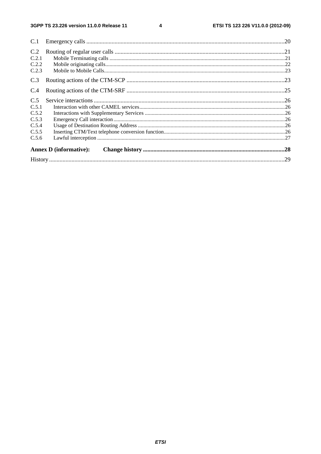#### $\overline{\mathbf{4}}$

| C.1   |                               |  |  |  |  |  |
|-------|-------------------------------|--|--|--|--|--|
| C.2   |                               |  |  |  |  |  |
| C.2.1 |                               |  |  |  |  |  |
| C.2.2 |                               |  |  |  |  |  |
| C.2.3 |                               |  |  |  |  |  |
| C.3   |                               |  |  |  |  |  |
| C.4   |                               |  |  |  |  |  |
| C.5   |                               |  |  |  |  |  |
| C.5.1 |                               |  |  |  |  |  |
| C.5.2 |                               |  |  |  |  |  |
| C.5.3 |                               |  |  |  |  |  |
| C.5.4 |                               |  |  |  |  |  |
| C.5.5 |                               |  |  |  |  |  |
| C.5.6 |                               |  |  |  |  |  |
|       | <b>Annex D</b> (informative): |  |  |  |  |  |
|       |                               |  |  |  |  |  |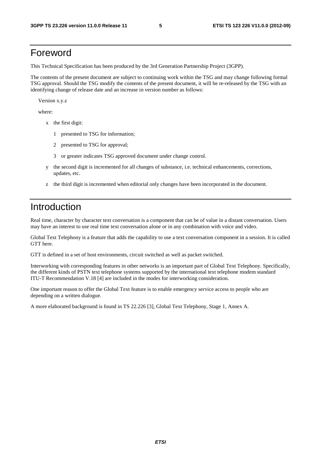### Foreword

This Technical Specification has been produced by the 3rd Generation Partnership Project (3GPP).

The contents of the present document are subject to continuing work within the TSG and may change following formal TSG approval. Should the TSG modify the contents of the present document, it will be re-released by the TSG with an identifying change of release date and an increase in version number as follows:

Version x.y.z

where:

- x the first digit:
	- 1 presented to TSG for information;
	- 2 presented to TSG for approval;
	- 3 or greater indicates TSG approved document under change control.
- y the second digit is incremented for all changes of substance, i.e. technical enhancements, corrections, updates, etc.
- z the third digit is incremented when editorial only changes have been incorporated in the document.

### Introduction

Real time, character by character text conversation is a component that can be of value in a distant conversation. Users may have an interest to use real time text conversation alone or in any combination with voice and video.

Global Text Telephony is a feature that adds the capability to use a text conversation component in a session. It is called GTT here.

GTT is defined in a set of host environments, circuit switched as well as packet switched.

Interworking with corresponding features in other networks is an important part of Global Text Telephony. Specifically, the different kinds of PSTN text telephone systems supported by the international text telephone modem standard ITU-T Recommendation V.18 [4] are included in the modes for interworking consideration.

One important reason to offer the Global Text feature is to enable emergency service access to people who are depending on a written dialogue.

A more elaborated background is found in TS 22.226 [3], Global Text Telephony, Stage 1, Annex A.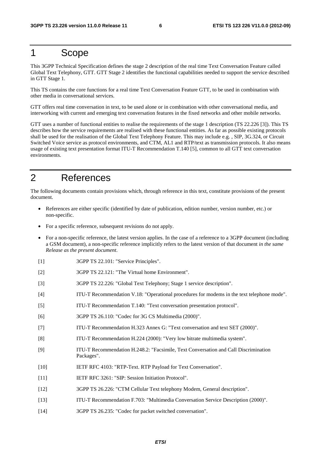### 1 Scope

This 3GPP Technical Specification defines the stage 2 description of the real time Text Conversation Feature called Global Text Telephony, GTT. GTT Stage 2 identifies the functional capabilities needed to support the service described in GTT Stage 1.

This TS contains the core functions for a real time Text Conversation Feature GTT, to be used in combination with other media in conversational services.

GTT offers real time conversation in text, to be used alone or in combination with other conversational media, and interworking with current and emerging text conversation features in the fixed networks and other mobile networks.

GTT uses a number of functional entities to realise the requirements of the stage 1 description (TS 22.226 [3]). This TS describes how the service requirements are realised with these functional entities. As far as possible existing protocols shall be used for the realisation of the Global Text Telephony Feature. This may include e.g. , SIP, 3G.324, or Circuit Switched Voice service as protocol environments, and CTM, AL1 and RTP/text as transmission protocols. It also means usage of existing text presentation format ITU-T Recommendation T.140 [5], common to all GTT text conversation environments.

## 2 References

The following documents contain provisions which, through reference in this text, constitute provisions of the present document.

- References are either specific (identified by date of publication, edition number, version number, etc.) or non-specific.
- For a specific reference, subsequent revisions do not apply.
- For a non-specific reference, the latest version applies. In the case of a reference to a 3GPP document (including a GSM document), a non-specific reference implicitly refers to the latest version of that document *in the same Release as the present document*.
- [1] 3GPP TS 22.101: "Service Principles".
- [2] 3GPP TS 22.121: "The Virtual home Environment".
- [3] 3GPP TS 22.226: "Global Text Telephony; Stage 1 service description".
- [4] ITU-T Recommendation V.18: "Operational procedures for modems in the text telephone mode".
- [5] ITU-T Recommendation T.140: "Text conversation presentation protocol".
- [6] 3GPP TS 26.110: "Codec for 3G CS Multimedia (2000)".
- [7] ITU-T Recommendation H.323 Annex G: "Text conversation and text SET (2000)".
- [8] ITU-T Recommendation H.224 (2000): "Very low bitrate multimedia system".
- [9] ITU-T Recommendation H.248.2: "Facsimile, Text Conversation and Call Discrimination Packages".
- [10] IETF RFC 4103: "RTP-Text. RTP Payload for Text Conversation".
- [11] IETF RFC 3261: "SIP: Session Initiation Protocol".
- [12] 3GPP TS 26.226: "CTM Cellular Text telephony Modem, General description".
- [13] ITU-T Recommendation F.703: "Multimedia Conversation Service Description (2000)".
- [14] 3GPP TS 26.235: "Codec for packet switched conversation".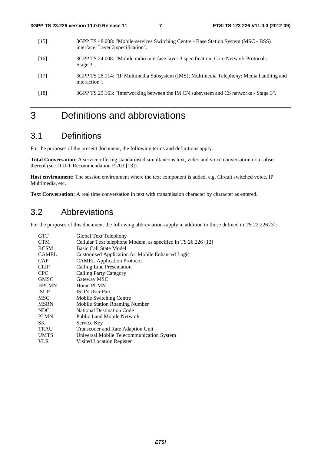- [15] 3GPP TS 48.008: "Mobile-services Switching Centre Base Station System (MSC BSS) interface; Layer 3 specification".
- [16] 3GPP TS 24.008: "Mobile radio interface layer 3 specification; Core Network Protocols Stage 3".
- [17] 3GPP TS 26.114: "IP Multimedia Subsystem (IMS); Multimedia Telephony; Media handling and interaction".
- [18] 3GPP TS 29.163: "Interworking between the IM CN subsystem and CS networks Stage 3".

### 3 Definitions and abbreviations

### 3.1 Definitions

For the purposes of the present document, the following terms and definitions apply.

**Total Conversation**: A service offering standardised simultaneous text, video and voice conversation or a subset thereof (see ITU-T Recommendation F.703 [13]).

**Host environment:** The session environment where the text component is added. e.g. Circuit switched voice, IP Multimedia, etc.

**Text Conversation:** A real time conversation in text with transmission character by character as entered.

### 3.2 Abbreviations

For the purposes of this document the following abbreviations apply in addition to those defined in TS 22.226 [3]:

| <b>GTT</b>   | Global Text Telephony                                         |
|--------------|---------------------------------------------------------------|
| <b>CTM</b>   | Cellular Text telephone Modem, as specified in TS 26.226 [12] |
| <b>BCSM</b>  | <b>Basic Call State Model</b>                                 |
| <b>CAMEL</b> | <b>Customised Application for Mobile Enhanced Logic</b>       |
| CAP          | <b>CAMEL Application Protocol</b>                             |
| <b>CLIP</b>  | Calling Line Presentation                                     |
| <b>CPC</b>   | <b>Calling Party Category</b>                                 |
| <b>GMSC</b>  | Gateway MSC                                                   |
| <b>HPLMN</b> | Home PLMN                                                     |
| <b>ISUP</b>  | <b>ISDN</b> User Part                                         |
| <b>MSC</b>   | Mobile Switching Centre                                       |
| <b>MSRN</b>  | <b>Mobile Station Roaming Number</b>                          |
| NDC          | <b>National Destination Code</b>                              |
| <b>PLMN</b>  | Public Land Mobile Network                                    |
| SK.          | Service Key                                                   |
| <b>TRAU</b>  | Transcoder and Rate Adaption Unit                             |
| <b>UMTS</b>  | Universal Mobile Telecommunication System                     |
| VLR          | Visited Location Register                                     |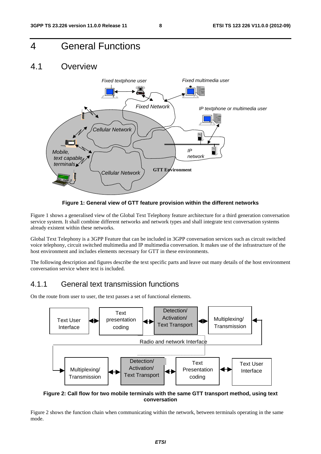### 4 General Functions

#### 4.1 Overview



**Figure 1: General view of GTT feature provision within the different networks** 

Figure 1 shows a generalised view of the Global Text Telephony feature architecture for a third generation conversation service system. It shall combine different networks and network types and shall integrate text conversation systems already existent within these networks.

Global Text Telephony is a 3GPP Feature that can be included in 3GPP conversation services such as circuit switched voice telephony, circuit switched multimedia and IP multimedia conversation. It makes use of the infrastructure of the host environment and includes elements necessary for GTT in these environments.

The following description and figures describe the text specific parts and leave out many details of the host environment conversation service where text is included.

#### 4.1.1 General text transmission functions

On the route from user to user, the text passes a set of functional elements.



**Figure 2: Call flow for two mobile terminals with the same GTT transport method, using text conversation** 

Figure 2 shows the function chain when communicating within the network, between terminals operating in the same mode.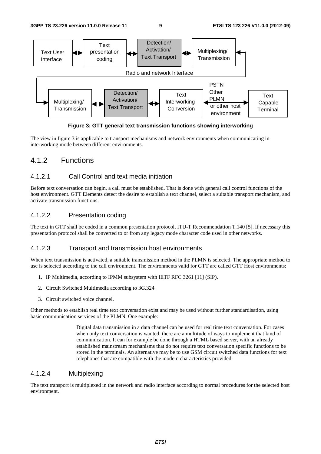**3GPP TS 23.226 version 11.0.0 Release 11 9 ETSI TS 123 226 V11.0.0 (2012-09)**



**Figure 3: GTT general text transmission functions showing interworking** 

The view in figure 3 is applicable to transport mechanisms and network environments when communicating in interworking mode between different environments.

#### 4.1.2 Functions

#### 4.1.2.1 Call Control and text media initiation

Before text conversation can begin, a call must be established. That is done with general call control functions of the host environment. GTT Elements detect the desire to establish a text channel, select a suitable transport mechanism, and activate transmission functions.

#### 4.1.2.2 Presentation coding

The text in GTT shall be coded in a common presentation protocol, ITU-T Recommendation T.140 [5]. If necessary this presentation protocol shall be converted to or from any legacy mode character code used in other networks.

#### 4.1.2.3 Transport and transmission host environments

When text transmission is activated, a suitable transmission method in the PLMN is selected. The appropriate method to use is selected according to the call environment. The environments valid for GTT are called GTT Host environments:

- 1. IP Multimedia, according to IPMM subsystem with IETF RFC 3261 [11] (SIP).
- 2. Circuit Switched Multimedia according to 3G.324.
- 3. Circuit switched voice channel.

Other methods to establish real time text conversation exist and may be used without further standardisation, using basic communication services of the PLMN. One example:

> Digital data transmission in a data channel can be used for real time text conversation. For cases when only text conversation is wanted, there are a multitude of ways to implement that kind of communication. It can for example be done through a HTML based server, with an already established mainstream mechanisms that do not require text conversation specific functions to be stored in the terminals. An alternative may be to use GSM circuit switched data functions for text telephones that are compatible with the modem characteristics provided.

#### 4.1.2.4 Multiplexing

The text transport is multiplexed in the network and radio interface according to normal procedures for the selected host environment.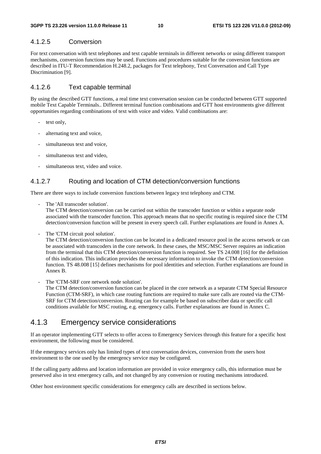#### 4.1.2.5 Conversion

For text conversation with text telephones and text capable terminals in different networks or using different transport mechanisms, conversion functions may be used. Functions and procedures suitable for the conversion functions are described in ITU-T Recommendation H.248.2, packages for Text telephony, Text Conversation and Call Type Discrimination [9].

#### 4.1.2.6 Text capable terminal

By using the described GTT functions, a real time text conversation session can be conducted between GTT supported mobile Text Capable Terminals.. Different terminal function combinations and GTT host environments give different opportunities regarding combinations of text with voice and video. Valid combinations are:

- text only,
- alternating text and voice,
- simultaneous text and voice.
- simultaneous text and video,
- simultaneous text, video and voice.

#### 4.1.2.7 Routing and location of CTM detection/conversion functions

There are three ways to include conversion functions between legacy text telephony and CTM.

The 'All transcoder solution'.

The CTM detection/conversion can be carried out within the transcoder function or within a separate node associated with the transcoder function. This approach means that no specific routing is required since the CTM detection/conversion function will be present in every speech call. Further explanations are found in Annex A.

The 'CTM circuit pool solution'.

The CTM detection/conversion function can be located in a dedicated resource pool in the access network or can be associated with transcoders in the core network. In these cases, the MSC/MSC Server requires an indication from the terminal that this CTM detection/conversion function is required. See TS 24.008 [16] for the definition of this indication. This indication provides the necessary information to invoke the CTM detection/conversion function. TS 48.008 [15] defines mechanisms for pool identities and selection. Further explanations are found in Annex B.

The 'CTM-SRF core network node solution'.

The CTM detection/conversion function can be placed in the core network as a separate CTM Special Resource Function (CTM-SRF), in which case routing functions are required to make sure calls are routed via the CTM-SRF for CTM detection/conversion. Routing can for example be based on subscriber data or specific call conditions available for MSC routing, e.g. emergency calls. Further explanations are found in Annex C.

#### 4.1.3 Emergency service considerations

If an operator implementing GTT selects to offer access to Emergency Services through this feature for a specific host environment, the following must be considered.

If the emergency services only has limited types of text conversation devices, conversion from the users host environment to the one used by the emergency service may be configured.

If the calling party address and location information are provided in voice emergency calls, this information must be preserved also in text emergency calls, and not changed by any conversion or routing mechanisms introduced.

Other host environment specific considerations for emergency calls are described in sections below.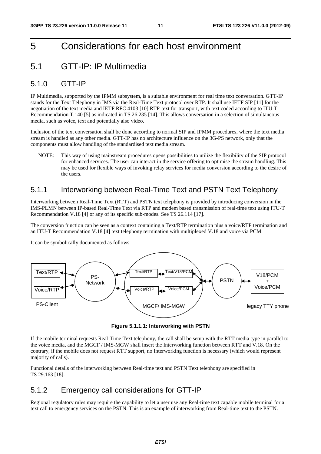### 5 Considerations for each host environment

### 5.1 GTT-IP: IP Multimedia

#### 5.1.0 GTT-IP

IP Multimedia, supported by the IPMM subsystem, is a suitable environment for real time text conversation. GTT-IP stands for the Text Telephony in IMS via the Real-Time Text protocol over RTP. It shall use IETF SIP [11] for the negotiation of the text media and IETF RFC 4103 [10] RTP-text for transport, with text coded according to ITU-T Recommendation T.140 [5] as indicated in TS 26.235 [14]. This allows conversation in a selection of simultaneous media, such as voice, text and potentially also video.

Inclusion of the text conversation shall be done according to normal SIP and IPMM procedures, where the text media stream is handled as any other media. GTT-IP has no architecture influence on the 3G-PS network, only that the components must allow handling of the standardised text media stream.

NOTE: This way of using mainstream procedures opens possibilities to utilize the flexibility of the SIP protocol for enhanced services. The user can interact in the service offering to optimise the stream handling. This may be used for flexible ways of invoking relay services for media conversion according to the desire of the users.

#### 5.1.1 Interworking between Real-Time Text and PSTN Text Telephony

Interworking between Real-Time Text (RTT) and PSTN text telephony is provided by introducing conversion in the IMS-PLMN between IP-based Real-Time Text via RTP and modem based transmission of real-time text using ITU-T Recommendation V.18 [4] or any of its specific sub-modes. See TS 26.114 [17].

The conversion function can be seen as a context containing a Text/RTP termination plus a voice/RTP termination and an ITU-T Recommendation V.18 [4] text telephony termination with multiplexed V.18 and voice via PCM.

It can be symbolically documented as follows.



**Figure 5.1.1.1: Interworking with PSTN** 

If the mobile terminal requests Real-Time Text telephony, the call shall be setup with the RTT media type in parallel to the voice media, and the MGCF / IMS-MGW shall insert the Interworking function between RTT and V.18. On the contrary, if the mobile does not request RTT support, no Interworking function is necessary (which would represent majority of calls).

Functional details of the interworking between Real-time text and PSTN Text telephony are specified in TS 29.163 [18].

#### 5.1.2 Emergency call considerations for GTT-IP

Regional regulatory rules may require the capability to let a user use any Real-time text capable mobile terminal for a text call to emergency services on the PSTN. This is an example of interworking from Real-time text to the PSTN.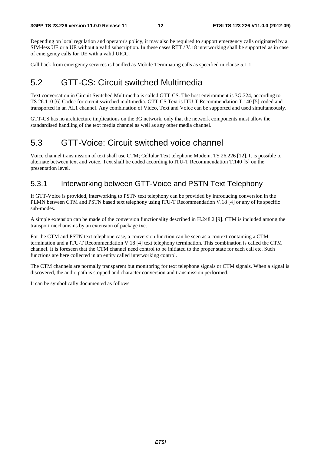Depending on local regulation and operator's policy, it may also be required to support emergency calls originated by a SIM-less UE or a UE without a valid subscription. In these cases RTT / V.18 interworking shall be supported as in case of emergency calls for UE with a valid UICC.

Call back from emergency services is handled as Mobile Terminating calls as specified in clause 5.1.1.

### 5.2 GTT-CS: Circuit switched Multimedia

Text conversation in Circuit Switched Multimedia is called GTT-CS. The host environment is 3G.324, according to TS 26.110 [6] Codec for circuit switched multimedia. GTT-CS Text is ITU-T Recommendation T.140 [5] coded and transported in an AL1 channel. Any combination of Video, Text and Voice can be supported and used simultaneously.

GTT-CS has no architecture implications on the 3G network, only that the network components must allow the standardised handling of the text media channel as well as any other media channel.

### 5.3 GTT-Voice: Circuit switched voice channel

Voice channel transmission of text shall use CTM; Cellular Text telephone Modem, TS 26.226 [12]. It is possible to alternate between text and voice. Text shall be coded according to ITU-T Recommendation T.140 [5] on the presentation level.

#### 5.3.1 Interworking between GTT-Voice and PSTN Text Telephony

If GTT-Voice is provided, interworking to PSTN text telephony can be provided by introducing conversion in the PLMN between CTM and PSTN based text telephony using ITU-T Recommendation V.18 [4] or any of its specific sub-modes.

A simple extension can be made of the conversion functionality described in H.248.2 [9]. CTM is included among the transport mechanisms by an extension of package txc.

For the CTM and PSTN text telephone case, a conversion function can be seen as a context containing a CTM termination and a ITU-T Recommendation V.18 [4] text telephony termination. This combination is called the CTM channel. It is foreseen that the CTM channel need control to be initiated to the proper state for each call etc. Such functions are here collected in an entity called interworking control.

The CTM channels are normally transparent but monitoring for text telephone signals or CTM signals. When a signal is discovered, the audio path is stopped and character conversion and transmission performed.

It can be symbolically documented as follows.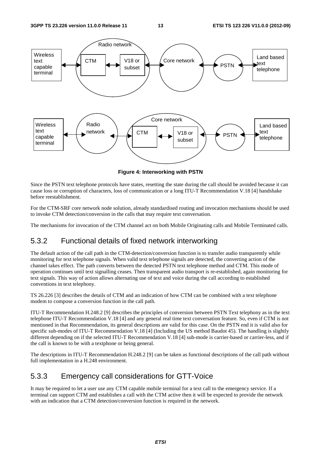

**Figure 4: Interworking with PSTN** 

Since the PSTN text telephone protocols have states, resetting the state during the call should be avoided because it can cause loss or corruption of characters, loss of communication or a long ITU-T Recommendation V.18 [4] handshake before reestablishment.

For the CTM-SRF core network node solution, already standardised routing and invocation mechanisms should be used to invoke CTM detection/conversion in the calls that may require text conversation.

The mechanisms for invocation of the CTM channel act on both Mobile Originating calls and Mobile Terminated calls.

### 5.3.2 Functional details of fixed network interworking

The default action of the call path in the CTM-detection/conversion function is to transfer audio transparently while monitoring for text telephone signals. When valid text telephone signals are detected, the converting action of the channel takes effect. The path converts between the detected PSTN text telephone method and CTM. This mode of operation continues until text signalling ceases. Then transparent audio transport is re-established, again monitoring for text signals. This way of action allows alternating use of text and voice during the call according to established conventions in text telephony.

TS 26.226 [3] describes the details of CTM and an indication of how CTM can be combined with a text telephone modem to compose a conversion function in the call path.

ITU-T Recommendation H.248.2 [9] describes the principles of conversion between PSTN Text telephony as in the text telephone ITU-T Recommendation V.18 [4] and any general real time text conversation feature. So, even if CTM is not mentioned in that Recommendation, its general descriptions are valid for this case. On the PSTN end it is valid also for specific sub-modes of ITU-T Recommendation V.18 [4] (Including the US method Baudot 45). The handling is slightly different depending on if the selected ITU-T Recommendation V.18 [4] sub-mode is carrier-based or carrier-less, and if the call is known to be with a textphone or being general.

The descriptions in ITU-T Recommendation H.248.2 [9] can be taken as functional descriptions of the call path without full implementation in a H.248 environment.

#### 5.3.3 Emergency call considerations for GTT-Voice

It may be required to let a user use any CTM capable mobile terminal for a text call to the emergency service. If a terminal can support CTM and establishes a call with the CTM active then it will be expected to provide the network with an indication that a CTM detection/conversion function is required in the network.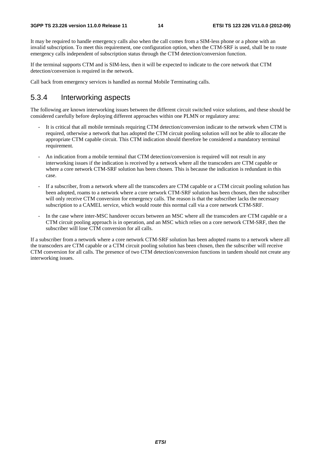It may be required to handle emergency calls also when the call comes from a SIM-less phone or a phone with an invalid subscription. To meet this requirement, one configuration option, when the CTM-SRF is used, shall be to route emergency calls independent of subscription status through the CTM detection/conversion function.

If the terminal supports CTM and is SIM-less, then it will be expected to indicate to the core network that CTM detection/conversion is required in the network.

Call back from emergency services is handled as normal Mobile Terminating calls.

#### 5.3.4 Interworking aspects

The following are known interworking issues between the different circuit switched voice solutions, and these should be considered carefully before deploying different approaches within one PLMN or regulatory area:

- It is critical that all mobile terminals requiring CTM detection/conversion indicate to the network when CTM is required, otherwise a network that has adopted the CTM circuit pooling solution will not be able to allocate the appropriate CTM capable circuit. This CTM indication should therefore be considered a mandatory terminal requirement.
- An indication from a mobile terminal that CTM detection/conversion is required will not result in any interworking issues if the indication is received by a network where all the transcoders are CTM capable or where a core network CTM-SRF solution has been chosen. This is because the indication is redundant in this case.
- If a subscriber, from a network where all the transcoders are CTM capable or a CTM circuit pooling solution has been adopted, roams to a network where a core network CTM-SRF solution has been chosen, then the subscriber will only receive CTM conversion for emergency calls. The reason is that the subscriber lacks the necessary subscription to a CAMEL service, which would route this normal call via a core network CTM-SRF.
- In the case where inter-MSC handover occurs between an MSC where all the transcoders are CTM capable or a CTM circuit pooling approach is in operation, and an MSC which relies on a core network CTM-SRF, then the subscriber will lose CTM conversion for all calls.

If a subscriber from a network where a core network CTM-SRF solution has been adopted roams to a network where all the transcoders are CTM capable or a CTM circuit pooling solution has been chosen, then the subscriber will receive CTM conversion for all calls. The presence of two CTM detection/conversion functions in tandem should not create any interworking issues.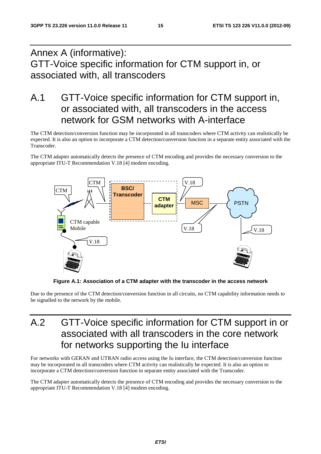## Annex A (informative): GTT-Voice specific information for CTM support in, or associated with, all transcoders

## A.1 GTT-Voice specific information for CTM support in, or associated with, all transcoders in the access network for GSM networks with A-interface

The CTM detection/conversion function may be incorporated in all transcoders where CTM activity can realistically be expected. It is also an option to incorporate a CTM detection/conversion function in a separate entity associated with the Transcoder.

The CTM adapter automatically detects the presence of CTM encoding and provides the necessary conversion to the appropriate ITU-T Recommendation V.18 [4] modem encoding.



**Figure A.1: Association of a CTM adapter with the transcoder in the access network** 

Due to the presence of the CTM detection/conversion function in all circuits, no CTM capability information needs to be signalled to the network by the mobile.

## A.2 GTT-Voice specific information for CTM support in or associated with all transcoders in the core network for networks supporting the Iu interface

For networks with GERAN and UTRAN radio access using the Iu interface, the CTM detection/conversion function may be incorporated in all transcoders where CTM activity can realistically be expected. It is also an option to incorporate a CTM detection/conversion function in separate entity associated with the Transcoder.

The CTM adapter automatically detects the presence of CTM encoding and provides the necessary conversion to the appropriate ITU-T Recommendation V.18 [4] modem encoding.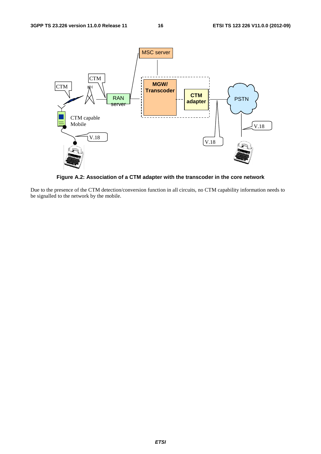

**Figure A.2: Association of a CTM adapter with the transcoder in the core network** 

Due to the presence of the CTM detection/conversion function in all circuits, no CTM capability information needs to be signalled to the network by the mobile.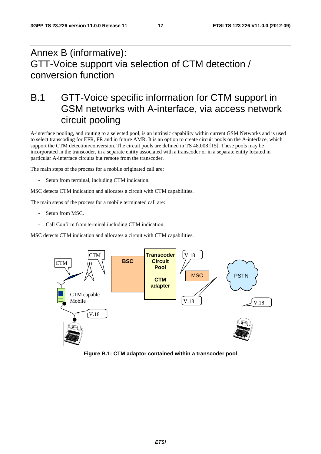## Annex B (informative): GTT-Voice support via selection of CTM detection / conversion function

## B.1 GTT-Voice specific information for CTM support in GSM networks with A-interface, via access network circuit pooling

A-interface pooling, and routing to a selected pool, is an intrinsic capability within current GSM Networks and is used to select transcoding for EFR, FR and in future AMR. It is an option to create circuit pools on the A-interface, which support the CTM detection/conversion. The circuit pools are defined in TS 48.008 [15]. These pools may be incorporated in the transcoder, in a separate entity associated with a transcoder or in a separate entity located in particular A-interface circuits but remote from the transcoder.

The main steps of the process for a mobile originated call are:

Setup from terminal, including CTM indication.

MSC detects CTM indication and allocates a circuit with CTM capabilities.

The main steps of the process for a mobile terminated call are:

- Setup from MSC.
- Call Confirm from terminal including CTM indication.

MSC detects CTM indication and allocates a circuit with CTM capabilities.



**Figure B.1: CTM adaptor contained within a transcoder pool**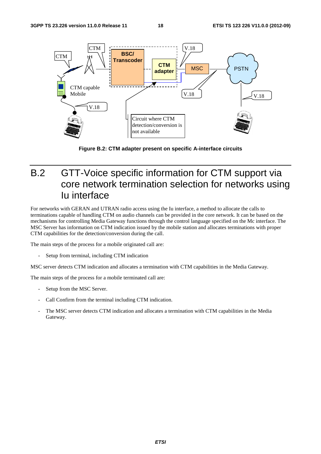

**Figure B.2: CTM adapter present on specific A-interface circuits** 

## B.2 GTT-Voice specific information for CTM support via core network termination selection for networks using Iu interface

For networks with GERAN and UTRAN radio access using the Iu interface, a method to allocate the calls to terminations capable of handling CTM on audio channels can be provided in the core network. It can be based on the mechanisms for controlling Media Gateway functions through the control language specified on the Mc interface. The MSC Server has information on CTM indication issued by the mobile station and allocates terminations with proper CTM capabilities for the detection/conversion during the call.

The main steps of the process for a mobile originated call are:

Setup from terminal, including CTM indication

MSC server detects CTM indication and allocates a termination with CTM capabilities in the Media Gateway.

The main steps of the process for a mobile terminated call are:

- Setup from the MSC Server.
- Call Confirm from the terminal including CTM indication.
- The MSC server detects CTM indication and allocates a termination with CTM capabilities in the Media Gateway.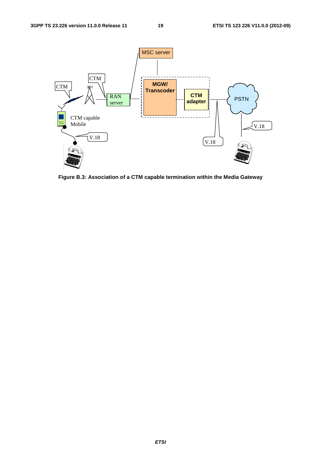

**Figure B.3: Association of a CTM capable termination within the Media Gateway**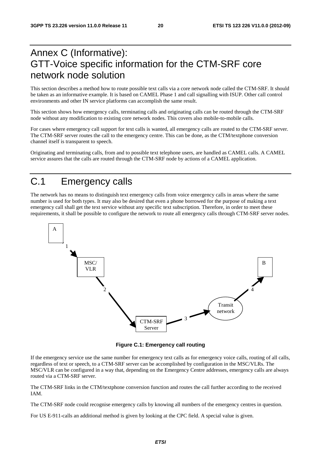## Annex C (Informative): GTT-Voice specific information for the CTM-SRF core network node solution

This section describes a method how to route possible text calls via a core network node called the CTM-SRF. It should be taken as an informative example. It is based on CAMEL Phase 1 and call signalling with ISUP. Other call control environments and other IN service platforms can accomplish the same result.

This section shows how emergency calls, terminating calls and originating calls can be routed through the CTM-SRF node without any modification to existing core network nodes. This covers also mobile-to-mobile calls.

For cases where emergency call support for text calls is wanted, all emergency calls are routed to the CTM-SRF server. The CTM-SRF server routes the call to the emergency centre. This can be done, as the CTM/textphone conversion channel itself is transparent to speech.

Originating and terminating calls, from and to possible text telephone users, are handled as CAMEL calls. A CAMEL service assures that the calls are routed through the CTM-SRF node by actions of a CAMEL application.

## C.1 Emergency calls

The network has no means to distinguish text emergency calls from voice emergency calls in areas where the same number is used for both types. It may also be desired that even a phone borrowed for the purpose of making a text emergency call shall get the text service without any specific text subscription. Therefore, in order to meet these requirements, it shall be possible to configure the network to route all emergency calls through CTM-SRF server nodes.



**Figure C.1: Emergency call routing** 

If the emergency service use the same number for emergency text calls as for emergency voice calls, routing of all calls, regardless of text or speech, to a CTM-SRF server can be accomplished by configuration in the MSC/VLRs. The MSC/VLR can be configured in a way that, depending on the Emergency Centre addresses, emergency calls are always routed via a CTM-SRF server.

The CTM-SRF links in the CTM/textphone conversion function and routes the call further according to the received IAM.

The CTM-SRF node could recognise emergency calls by knowing all numbers of the emergency centres in question.

For US E-911-calls an additional method is given by looking at the CPC field. A special value is given.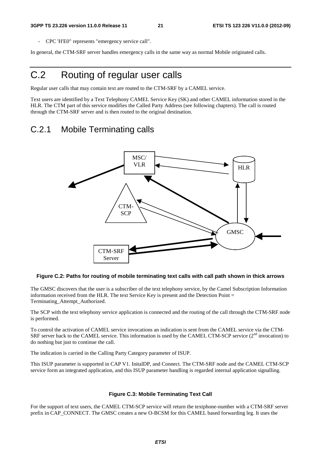- CPC 'H'E0" represents "emergency service call".

In general, the CTM-SRF server handles emergency calls in the same way as normal Mobile originated calls.

## C.2 Routing of regular user calls

Regular user calls that may contain text are routed to the CTM-SRF by a CAMEL service.

Text users are identified by a Text Telephony CAMEL Service Key (SK) and other CAMEL information stored in the HLR. The CTM part of this service modifies the Called Party Address (see following chapters). The call is routed through the CTM-SRF server and is then routed to the original destination.

### C.2.1 Mobile Terminating calls



#### **Figure C.2: Paths for routing of mobile terminating text calls with call path shown in thick arrows**

The GMSC discovers that the user is a subscriber of the text telephony service, by the Camel Subscription Information information received from the HLR. The text Service Key is present and the Detection Point = Terminating\_Attempt\_Authorized.

The SCP with the text telephony service application is connected and the routing of the call through the CTM-SRF node is performed.

To control the activation of CAMEL service invocations an indication is sent from the CAMEL service via the CTM-SRF server back to the CAMEL service. This information is used by the CAMEL CTM-SCP service (2<sup>nd</sup> invocation) to do nothing but just to continue the call.

The indication is carried in the Calling Party Category parameter of ISUP.

This ISUP parameter is supported in CAP V1. InitalDP, and Connect. The CTM-SRF node and the CAMEL CTM-SCP service form an integrated application, and this ISUP parameter handling is regarded internal application signalling.

#### **Figure C.3: Mobile Terminating Text Call**

For the support of text users, the CAMEL CTM-SCP service will return the textphone-number with a CTM-SRF server prefix in CAP\_CONNECT. The GMSC creates a new O-BCSM for this CAMEL based forwarding leg. It uses the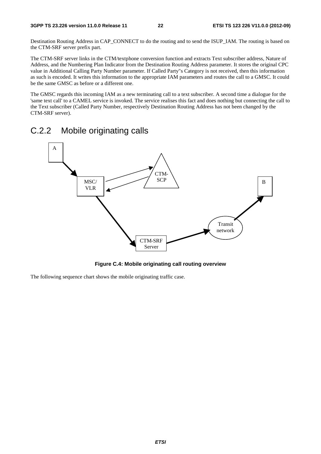Destination Routing Address in CAP\_CONNECT to do the routing and to send the ISUP\_IAM. The routing is based on the CTM-SRF server prefix part.

The CTM-SRF server links in the CTM/textphone conversion function and extracts Text subscriber address, Nature of Address, and the Numbering Plan Indicator from the Destination Routing Address parameter. It stores the original CPC value in Additional Calling Party Number parameter. If Called Party"s Category is not received, then this information as such is encoded. It writes this information to the appropriate IAM parameters and routes the call to a GMSC. It could be the same GMSC as before or a different one.

The GMSC regards this incoming IAM as a new terminating call to a text subscriber. A second time a dialogue for the 'same text call' to a CAMEL service is invoked. The service realises this fact and does nothing but connecting the call to the Text subscriber (Called Party Number, respectively Destination Routing Address has not been changed by the CTM-SRF server).

### C.2.2 Mobile originating calls



**Figure C.4: Mobile originating call routing overview** 

The following sequence chart shows the mobile originating traffic case.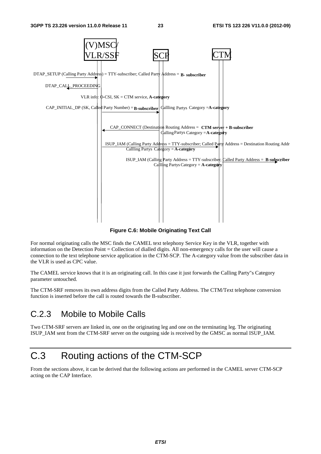

**Figure C.6: Mobile Originating Text Call** 

For normal originating calls the MSC finds the CAMEL text telephony Service Key in the VLR, together with information on the Detection Point = Collection of dialled digits. All non-emergency calls for the user will cause a connection to the text telephone service application in the CTM-SCP. The A-category value from the subscriber data in the VLR is used as CPC value.

The CAMEL service knows that it is an originating call. In this case it just forwards the Calling Party"s Category parameter untouched.

The CTM-SRF removes its own address digits from the Called Party Address. The CTM/Text telephone conversion function is inserted before the call is routed towards the B-subscriber.

### C.2.3 Mobile to Mobile Calls

Two CTM-SRF servers are linked in, one on the originating leg and one on the terminating leg. The originating ISUP\_IAM sent from the CTM-SRF server on the outgoing side is received by the GMSC as normal ISUP\_IAM.

## C.3 Routing actions of the CTM-SCP

From the sections above, it can be derived that the following actions are performed in the CAMEL server CTM-SCP acting on the CAP Interface.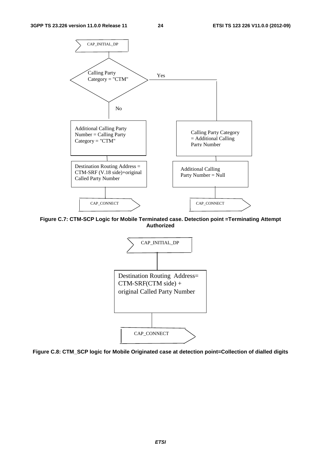

**Figure C.7: CTM-SCP Logic for Mobile Terminated case. Detection point =Terminating Attempt Authorized** 



**Figure C.8: CTM\_SCP logic for Mobile Originated case at detection point=Collection of dialled digits** 

*ETSI*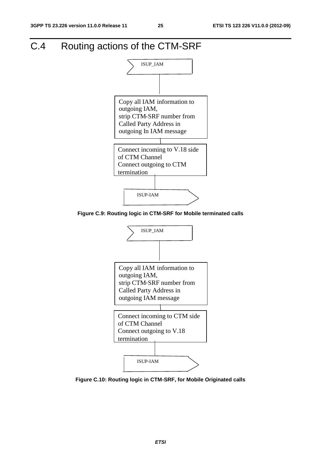## C.4 Routing actions of the CTM-SRF



**Figure C.9: Routing logic in CTM-SRF for Mobile terminated calls** 



**Figure C.10: Routing logic in CTM-SRF, for Mobile Originated calls**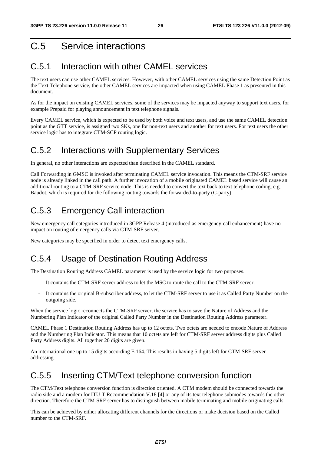## C.5 Service interactions

### C.5.1 Interaction with other CAMEL services

The text users can use other CAMEL services. However, with other CAMEL services using the same Detection Point as the Text Telephone service, the other CAMEL services are impacted when using CAMEL Phase 1 as presented in this document.

As for the impact on existing CAMEL services, some of the services may be impacted anyway to support text users, for example Prepaid for playing announcement in text telephone signals.

Every CAMEL service, which is expected to be used by both voice and text users, and use the same CAMEL detection point as the GTT service, is assigned two SKs, one for non-text users and another for text users. For text users the other service logic has to integrate CTM-SCP routing logic.

### C.5.2 Interactions with Supplementary Services

In general, no other interactions are expected than described in the CAMEL standard.

Call Forwarding in GMSC is invoked after terminating CAMEL service invocation. This means the CTM-SRF service node is already linked in the call path. A further invocation of a mobile originated CAMEL based service will cause an additional routing to a CTM-SRF service node. This is needed to convert the text back to text telephone coding, e.g. Baudot, which is required for the following routing towards the forwarded-to-party (C-party).

### C.5.3 Emergency Call interaction

New emergency call categories introduced in 3GPP Release 4 (introduced as emergency-call enhancement) have no impact on routing of emergency calls via CTM-SRF server.

New categories may be specified in order to detect text emergency calls.

### C.5.4 Usage of Destination Routing Address

The Destination Routing Address CAMEL parameter is used by the service logic for two purposes.

- It contains the CTM-SRF server address to let the MSC to route the call to the CTM-SRF server.
- It contains the original B-subscriber address, to let the CTM-SRF server to use it as Called Party Number on the outgoing side.

When the service logic reconnects the CTM-SRF server, the service has to save the Nature of Address and the Numbering Plan Indicator of the original Called Party Number in the Destination Routing Address parameter.

CAMEL Phase 1 Destination Routing Address has up to 12 octets. Two octets are needed to encode Nature of Address and the Numbering Plan Indicator. This means that 10 octets are left for CTM-SRF server address digits plus Called Party Address digits. All together 20 digits are given.

An international one up to 15 digits according E.164. This results in having 5 digits left for CTM-SRF server addressing.

### C.5.5 Inserting CTM/Text telephone conversion function

The CTM/Text telephone conversion function is direction oriented. A CTM modem should be connected towards the radio side and a modem for ITU-T Recommendation V.18 [4] or any of its text telephone submodes towards the other direction. Therefore the CTM-SRF server has to distinguish between mobile terminating and mobile originating calls.

This can be achieved by either allocating different channels for the directions or make decision based on the Called number to the CTM-SRF.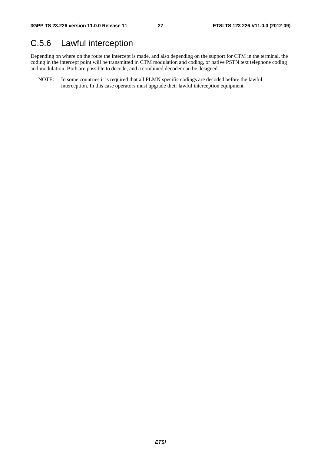### C.5.6 Lawful interception

Depending on where on the route the intercept is made, and also depending on the support for CTM in the terminal, the coding in the intercept point will be transmitted in CTM modulation and coding, or native PSTN text telephone coding and modulation. Both are possible to decode, and a combined decoder can be designed.

NOTE: In some countries it is required that all PLMN specific codings are decoded before the lawful interception. In this case operators must upgrade their lawful interception equipment.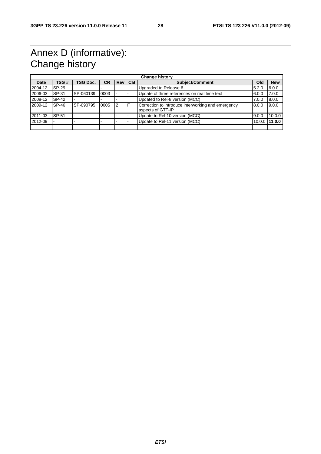## Annex D (informative): Change history

| <b>Change history</b> |       |                 |           |                |     |                                                                         |        |            |
|-----------------------|-------|-----------------|-----------|----------------|-----|-------------------------------------------------------------------------|--------|------------|
| Date                  | TSG#  | <b>TSG Doc.</b> | <b>CR</b> | Rev            | Cat | <b>Subject/Comment</b>                                                  | Old    | <b>New</b> |
| 2004-12               | SP-29 |                 |           |                |     | Upgraded to Release 6                                                   | 5.2.0  | 6.0.0      |
| 2006-03               | SP-31 | SP-060139       | 0003      |                |     | Update of three references on real time text                            | 6.0.0  | 7.0.0      |
| 2008-12               | SP-42 |                 |           |                |     | Updated to Rel-8 version (MCC)                                          | 7.0.0  | 8.0.0      |
| 2009-12               | SP-46 | SP-090795       | 0005      | $\overline{2}$ | F   | Correction to introduce interworking and emergency<br>aspects of GTT-IP | 8.0.0  | 9.0.0      |
| 2011-03               | SP-51 |                 |           |                |     | Update to Rel-10 version (MCC)                                          | 9.0.0  | 10.0.0     |
| 2012-09               |       |                 |           |                |     | Update to Rel-11 version (MCC)                                          | 10.0.0 | 11.0.0     |
|                       |       |                 |           |                |     |                                                                         |        |            |